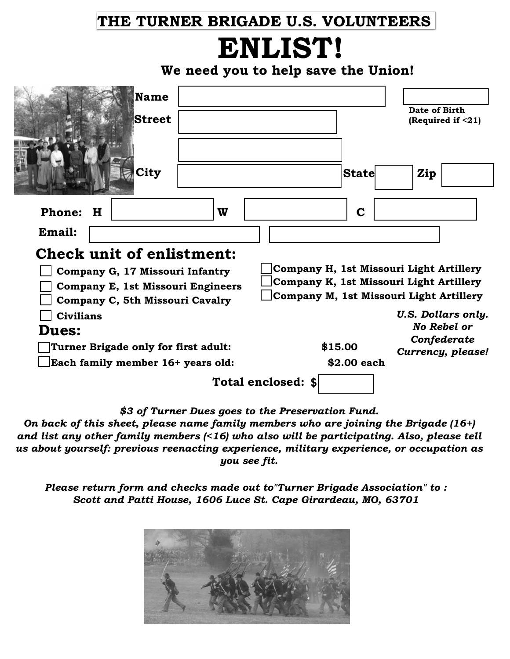## **THE TURNER BRIGADE U.S. VOLUNTEERS**

## **ENLIST!**

**We need you to help save the Union!**

| <b>Name</b><br><b>Street</b>             |                                         | Date of Birth<br>(Required if <21) |  |
|------------------------------------------|-----------------------------------------|------------------------------------|--|
| City                                     | <b>State</b>                            | Zip                                |  |
| W<br><b>Phone:</b><br>H                  | $\mathbf C$                             |                                    |  |
| Email:                                   |                                         |                                    |  |
| <b>Check unit of enlistment:</b>         |                                         |                                    |  |
| Company G, 17 Missouri Infantry          | Company H, 1st Missouri Light Artillery |                                    |  |
| <b>Company E, 1st Missouri Engineers</b> | Company K, 1st Missouri Light Artillery |                                    |  |
| Company C, 5th Missouri Cavalry          | Company M, 1st Missouri Light Artillery |                                    |  |
| <b>Civilians</b>                         |                                         | <b>U.S. Dollars only.</b>          |  |
| <b>Dues:</b>                             |                                         | <b>No Rebel or</b>                 |  |
| Turner Brigade only for first adult:     | \$15.00                                 | Confederate                        |  |
| Each family member 16+ years old:        | \$2.00 each                             | Currency, please!                  |  |
| Total enclosed: \$                       |                                         |                                    |  |

*\$3 of Turner Dues goes to the Preservation Fund.*

*On back of this sheet, please name family members who are joining the Brigade (16+) and list any other family members (<16) who also will be participating. Also, please tell us about yourself: previous reenacting experience, military experience, or occupation as you see fit.*

*Please return form and checks made out to"Turner Brigade Association" to : Scott and Patti House, 1606 Luce St. Cape Girardeau, MO, 63701*